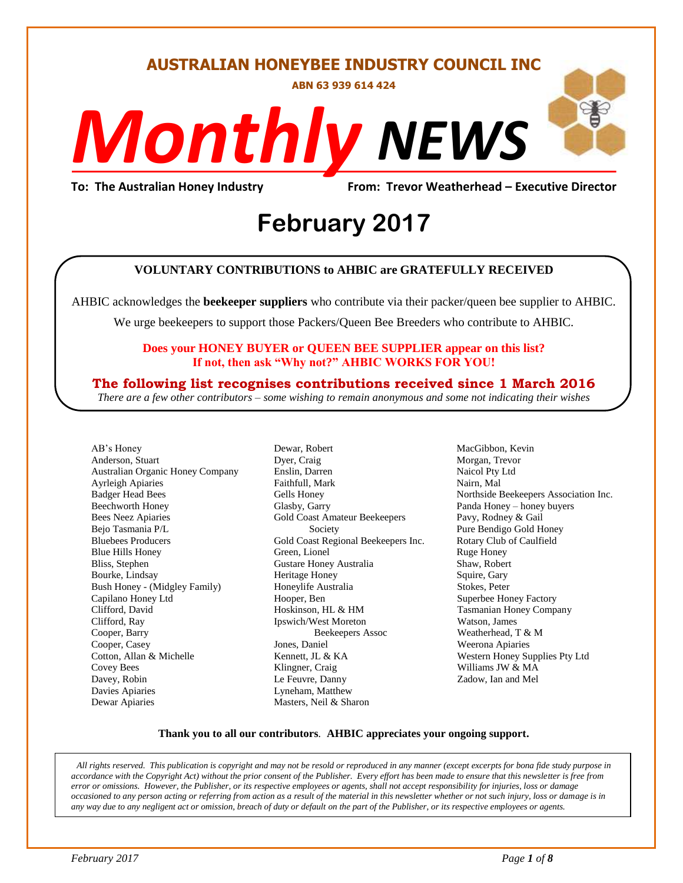**AUSTRALIAN HONEYBEE INDUSTRY COUNCIL INC**

**ABN 63 939 614 424**

# *NEWS Monthly*

**To: The Australian Honey Industry From: Trevor Weatherhead – Executive Director**

## *DS* **February 2017**

#### **VOLUNTARY CONTRIBUTIONS to AHBIC are GRATEFULLY RECEIVED**

AHBIC acknowledges the **beekeeper suppliers** who contribute via their packer/queen bee supplier to AHBIC.

We urge beekeepers to support those Packers/Queen Bee Breeders who contribute to AHBIC.

#### **Does your HONEY BUYER or QUEEN BEE SUPPLIER appear on this list? If not, then ask "Why not?" AHBIC WORKS FOR YOU!**

#### **The following list recognises contributions received since 1 March 2016**

*There are a few other contributors – some wishing to remain anonymous and some not indicating their wishes*

AB's Honey Anderson, Stuart Australian Organic Honey Company Ayrleigh Apiaries Badger Head Bees Beechworth Honey Bees Neez Apiaries Bejo Tasmania P/L Bluebees Producers Blue Hills Honey Bliss, Stephen Bourke, Lindsay Bush Honey - (Midgley Family) Capilano Honey Ltd Clifford, David Clifford, Ray Cooper, Barry Cooper, Casey Cotton, Allan & Michelle Covey Bees Davey, Robin Davies Apiaries Dewar Apiaries

Dewar, Robert Dyer, Craig Enslin, Darren Faithfull, Mark Gells Honey Glasby, Garry Gold Coast Amateur Beekeepers Society Gold Coast Regional Beekeepers Inc. Green, Lionel Gustare Honey Australia Heritage Honey Honeylife Australia Hooper, Ben Hoskinson, HL & HM Ipswich/West Moreton Beekeepers Assoc Jones, Daniel Kennett, JL & KA Klingner, Craig Le Feuvre, Danny Lyneham, Matthew Masters, Neil & Sharon

MacGibbon, Kevin Morgan, Trevor Naicol Pty Ltd Nairn, Mal Northside Beekeepers Association Inc. Panda Honey – honey buyers Pavy, Rodney & Gail Pure Bendigo Gold Honey Rotary Club of Caulfield Ruge Honey Shaw, Robert Squire, Gary Stokes, Peter Superbee Honey Factory Tasmanian Honey Company Watson, James Weatherhead, T & M Weerona Apiaries Western Honey Supplies Pty Ltd Williams JW & MA Zadow, Ian and Mel

#### **Thank you to all our contributors***.* **AHBIC appreciates your ongoing support.**

*All rights reserved. This publication is copyright and may not be resold or reproduced in any manner (except excerpts for bona fide study purpose in accordance with the Copyright Act) without the prior consent of the Publisher. Every effort has been made to ensure that this newsletter is free from error or omissions. However, the Publisher, or its respective employees or agents, shall not accept responsibility for injuries, loss or damage occasioned to any person acting or referring from action as a result of the material in this newsletter whether or not such injury, loss or damage is in*  any way due to any negligent act or omission, breach of duty or default on the part of the Publisher, or its respective employees or agents.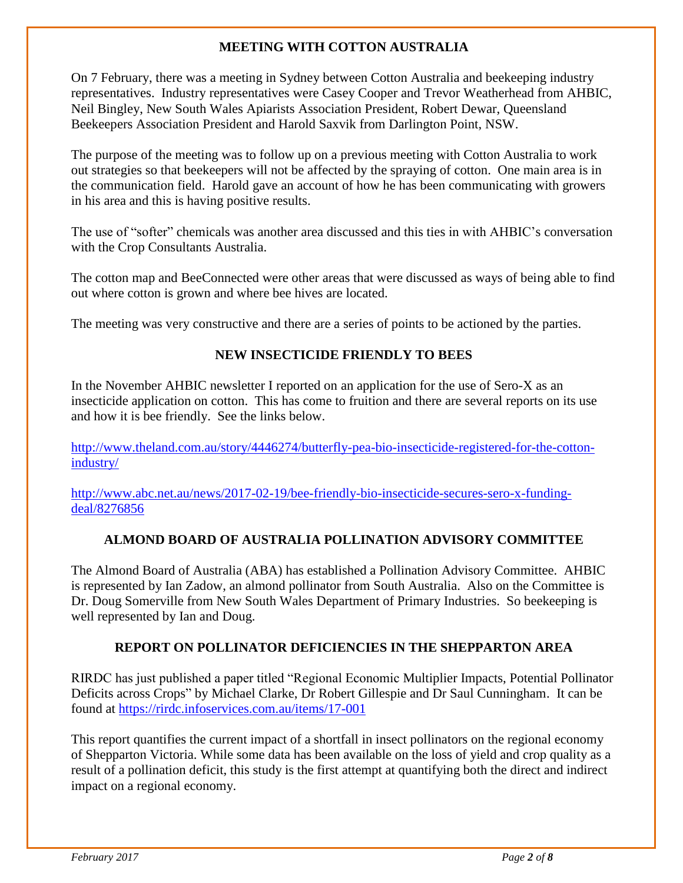#### **MEETING WITH COTTON AUSTRALIA**

On 7 February, there was a meeting in Sydney between Cotton Australia and beekeeping industry representatives. Industry representatives were Casey Cooper and Trevor Weatherhead from AHBIC, Neil Bingley, New South Wales Apiarists Association President, Robert Dewar, Queensland Beekeepers Association President and Harold Saxvik from Darlington Point, NSW.

The purpose of the meeting was to follow up on a previous meeting with Cotton Australia to work out strategies so that beekeepers will not be affected by the spraying of cotton. One main area is in the communication field. Harold gave an account of how he has been communicating with growers in his area and this is having positive results.

The use of "softer" chemicals was another area discussed and this ties in with AHBIC's conversation with the Crop Consultants Australia.

The cotton map and BeeConnected were other areas that were discussed as ways of being able to find out where cotton is grown and where bee hives are located.

The meeting was very constructive and there are a series of points to be actioned by the parties.

#### **NEW INSECTICIDE FRIENDLY TO BEES**

In the November AHBIC newsletter I reported on an application for the use of Sero-X as an insecticide application on cotton. This has come to fruition and there are several reports on its use and how it is bee friendly. See the links below.

[http://www.theland.com.au/story/4446274/butterfly-pea-bio-insecticide-registered-for-the-cotton](http://www.theland.com.au/story/4446274/butterfly-pea-bio-insecticide-registered-for-the-cotton-industry/)[industry/](http://www.theland.com.au/story/4446274/butterfly-pea-bio-insecticide-registered-for-the-cotton-industry/)

[http://www.abc.net.au/news/2017-02-19/bee-friendly-bio-insecticide-secures-sero-x-funding](http://www.abc.net.au/news/2017-02-19/bee-friendly-bio-insecticide-secures-sero-x-funding-deal/8276856)[deal/8276856](http://www.abc.net.au/news/2017-02-19/bee-friendly-bio-insecticide-secures-sero-x-funding-deal/8276856)

#### **ALMOND BOARD OF AUSTRALIA POLLINATION ADVISORY COMMITTEE**

The Almond Board of Australia (ABA) has established a Pollination Advisory Committee. AHBIC is represented by Ian Zadow, an almond pollinator from South Australia. Also on the Committee is Dr. Doug Somerville from New South Wales Department of Primary Industries. So beekeeping is well represented by Ian and Doug.

#### **REPORT ON POLLINATOR DEFICIENCIES IN THE SHEPPARTON AREA**

RIRDC has just published a paper titled "Regional Economic Multiplier Impacts, Potential Pollinator Deficits across Crops" by Michael Clarke, Dr Robert Gillespie and Dr Saul Cunningham. It can be found at<https://rirdc.infoservices.com.au/items/17-001>

This report quantifies the current impact of a shortfall in insect pollinators on the regional economy of Shepparton Victoria. While some data has been available on the loss of yield and crop quality as a result of a pollination deficit, this study is the first attempt at quantifying both the direct and indirect impact on a regional economy.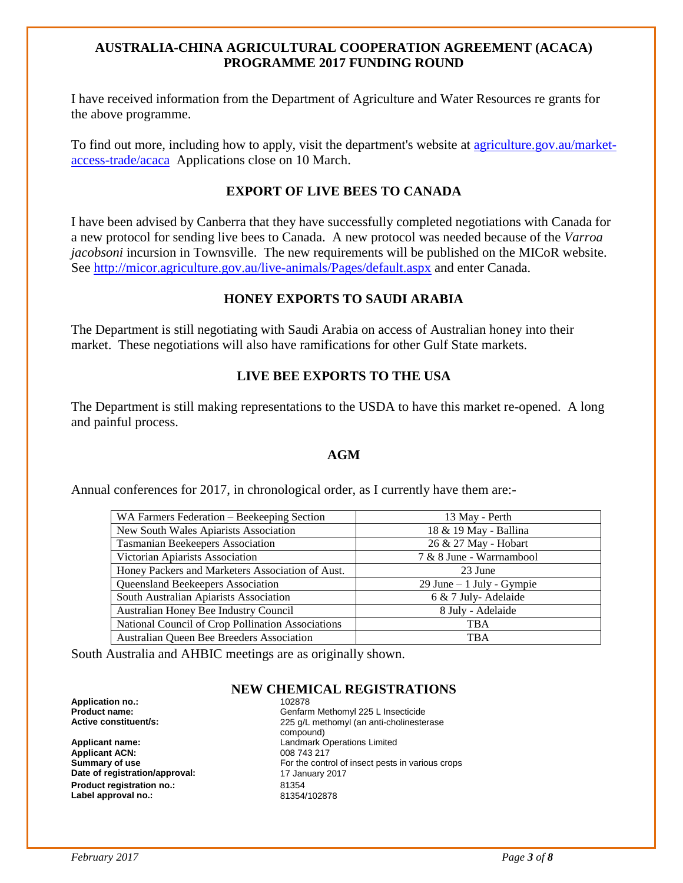#### **AUSTRALIA-CHINA AGRICULTURAL COOPERATION AGREEMENT (ACACA) PROGRAMME 2017 FUNDING ROUND**

I have received information from the Department of Agriculture and Water Resources re grants for the above programme.

To find out more, including how to apply, visit the department's website at [agriculture.gov.au/market](http://www.agriculture.gov.au/market-access-trade/acaca)[access-trade/acaca](http://www.agriculture.gov.au/market-access-trade/acaca) Applications close on 10 March.

#### **EXPORT OF LIVE BEES TO CANADA**

I have been advised by Canberra that they have successfully completed negotiations with Canada for a new protocol for sending live bees to Canada. A new protocol was needed because of the *Varroa jacobsoni* incursion in Townsville. The new requirements will be published on the MICoR website. See<http://micor.agriculture.gov.au/live-animals/Pages/default.aspx> and enter Canada.

#### **HONEY EXPORTS TO SAUDI ARABIA**

The Department is still negotiating with Saudi Arabia on access of Australian honey into their market. These negotiations will also have ramifications for other Gulf State markets.

#### **LIVE BEE EXPORTS TO THE USA**

The Department is still making representations to the USDA to have this market re-opened. A long and painful process.

#### **AGM**

Annual conferences for 2017, in chronological order, as I currently have them are:-

| WA Farmers Federation – Beekeeping Section        | 13 May - Perth               |
|---------------------------------------------------|------------------------------|
| New South Wales Apiarists Association             | 18 & 19 May - Ballina        |
| Tasmanian Beekeepers Association                  | 26 & 27 May - Hobart         |
| Victorian Apiarists Association                   | 7 & 8 June - Warrnambool     |
| Honey Packers and Marketers Association of Aust.  | 23 June                      |
| <b>Queensland Beekeepers Association</b>          | $29$ June $-1$ July - Gympie |
| South Australian Apiarists Association            | 6 & 7 July-Adelaide          |
| Australian Honey Bee Industry Council             | 8 July - Adelaide            |
| National Council of Crop Pollination Associations | TBA                          |
| Australian Queen Bee Breeders Association         | <b>TBA</b>                   |

South Australia and AHBIC meetings are as originally shown.

#### **NEW CHEMICAL REGISTRATIONS**

**Application no.:** 102878

**Applicant ACN:** 008 743 217<br> **Summary of use** example and the control of the control **Date of registration/approval:** 17 January 2017 **Product registration no.:** 81354 Label approval no.:

**Product name: Product name: CENSISTER CONSTRESS CONSTRESS Active constituent/s: Active constituent/s: CENSISTER 225 a/L** methomyl (an anti-cholineste 225 g/L methomyl (an anti-cholinesterase compound) **Applicant name:** Landmark Operations Limited For the control of insect pests in various crops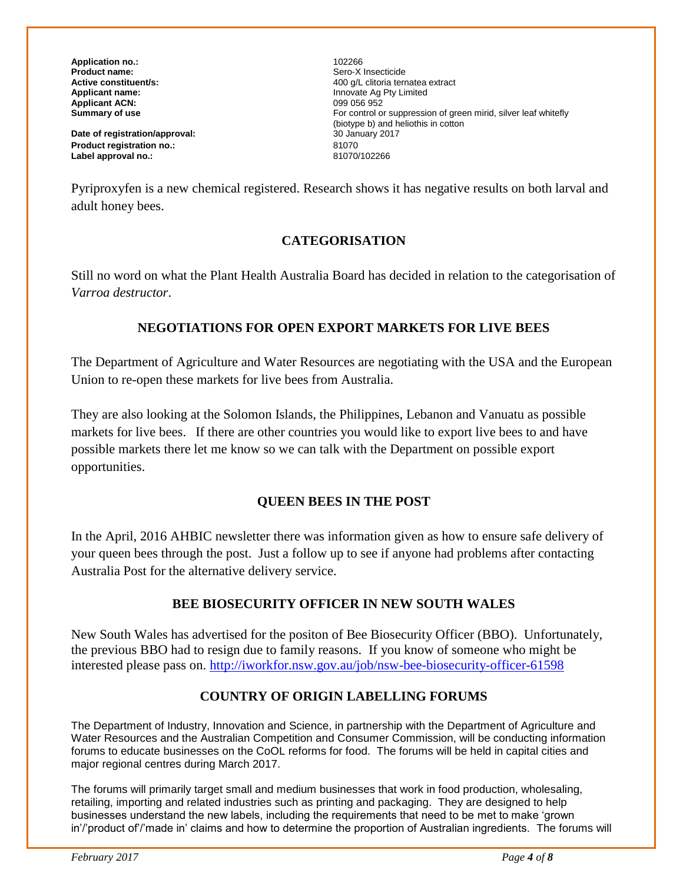**Application no.:** 102266 **Product name: Product name: Sero-X Insecticide**<br> **Active constituent/s:** 200 a/L clitoria terr **Applicant ACN:**<br>Summary of use

**Date of registration/approval:** 30 January 2017 **Product registration no.:** 81070 Label approval no.:

**Active constituent/s:** <br> **Applicant name:** <br> **Applicant name:** <br> **Applicant name:** <br> **Applicant name:** <br> **Applicant name:** <br> **Applicant name:** <br> **Applicant name:** <br> **Applicant name:** <br> **Applicant name:** <br> **Applicant name:** Innovate Ag Pty Limited<br>099 056 952 For control or suppression of green mirid, silver leaf whitefly (biotype b) and heliothis in cotton<br>30 January 2017

Pyriproxyfen is a new chemical registered. Research shows it has negative results on both larval and adult honey bees.

#### **CATEGORISATION**

Still no word on what the Plant Health Australia Board has decided in relation to the categorisation of *Varroa destructor*.

#### **NEGOTIATIONS FOR OPEN EXPORT MARKETS FOR LIVE BEES**

The Department of Agriculture and Water Resources are negotiating with the USA and the European Union to re-open these markets for live bees from Australia.

They are also looking at the Solomon Islands, the Philippines, Lebanon and Vanuatu as possible markets for live bees. If there are other countries you would like to export live bees to and have possible markets there let me know so we can talk with the Department on possible export opportunities.

#### **QUEEN BEES IN THE POST**

In the April, 2016 AHBIC newsletter there was information given as how to ensure safe delivery of your queen bees through the post. Just a follow up to see if anyone had problems after contacting Australia Post for the alternative delivery service.

#### **BEE BIOSECURITY OFFICER IN NEW SOUTH WALES**

New South Wales has advertised for the positon of Bee Biosecurity Officer (BBO). Unfortunately, the previous BBO had to resign due to family reasons. If you know of someone who might be interested please pass on.<http://iworkfor.nsw.gov.au/job/nsw-bee-biosecurity-officer-61598>

#### **COUNTRY OF ORIGIN LABELLING FORUMS**

The Department of Industry, Innovation and Science, in partnership with the Department of Agriculture and Water Resources and the Australian Competition and Consumer Commission, will be conducting information forums to educate businesses on the CoOL reforms for food. The forums will be held in capital cities and major regional centres during March 2017.

The forums will primarily target small and medium businesses that work in food production, wholesaling, retailing, importing and related industries such as printing and packaging. They are designed to help businesses understand the new labels, including the requirements that need to be met to make 'grown in'/'product of'/'made in' claims and how to determine the proportion of Australian ingredients. The forums will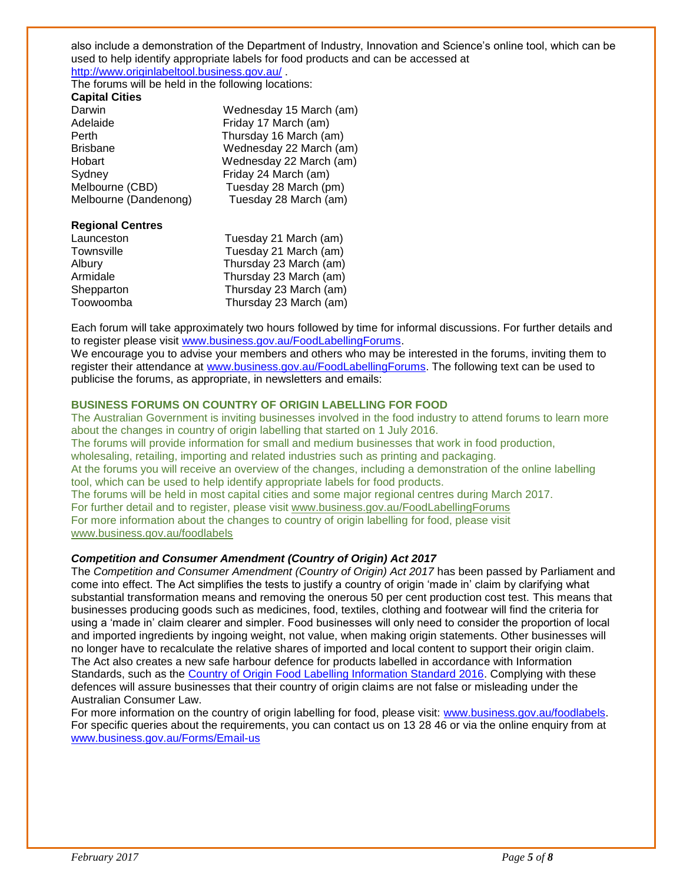also include a demonstration of the Department of Industry, Innovation and Science's online tool, which can be used to help identify appropriate labels for food products and can be accessed at <http://www.originlabeltool.business.gov.au/> .

The forums will be held in the following locations:

| <b>Capital Cities</b> |                         |
|-----------------------|-------------------------|
| Darwin                | Wednesday 15 March (am) |
| Adelaide              | Friday 17 March (am)    |
| Perth                 | Thursday 16 March (am)  |
| <b>Brisbane</b>       | Wednesday 22 March (am) |
| Hobart                | Wednesday 22 March (am) |
| Sydney                | Friday 24 March (am)    |
| Melbourne (CBD)       | Tuesday 28 March (pm)   |
| Melbourne (Dandenong) | Tuesday 28 March (am)   |
|                       |                         |

#### **Regional Centres**

| Launceston | Tuesday 21 March (am)  |
|------------|------------------------|
| Townsville | Tuesday 21 March (am)  |
| Albury     | Thursday 23 March (am) |
| Armidale   | Thursday 23 March (am) |
| Shepparton | Thursday 23 March (am) |
| Toowoomba  | Thursday 23 March (am) |
|            |                        |

Each forum will take approximately two hours followed by time for informal discussions. For further details and to register please visit [www.business.gov.au/FoodLabellingForums.](http://www.business.gov.au/FoodLabellingForums)

We encourage you to advise your members and others who may be interested in the forums, inviting them to register their attendance at [www.business.gov.au/FoodLabellingForums.](http://www.business.gov.au/FoodLabellingForums) The following text can be used to publicise the forums, as appropriate, in newsletters and emails:

#### **BUSINESS FORUMS ON COUNTRY OF ORIGIN LABELLING FOR FOOD**

The Australian Government is inviting businesses involved in the food industry to attend forums to learn more about the changes in country of origin labelling that started on 1 July 2016. The forums will provide information for small and medium businesses that work in food production, wholesaling, retailing, importing and related industries such as printing and packaging. At the forums you will receive an overview of the changes, including a demonstration of the online labelling tool, which can be used to help identify appropriate labels for food products. The forums will be held in most capital cities and some major regional centres during March 2017. For further detail and to register, please visit [www.business.gov.au/FoodLabellingForums](http://www.business.gov.au/FoodLabellingForums) For more information about the changes to country of origin labelling for food, please visit [www.business.gov.au/foodlabels](http://www.business.gov.au/foodlabels)

#### *Competition and Consumer Amendment (Country of Origin) Act 2017*

The *Competition and Consumer Amendment (Country of Origin) Act 2017* has been passed by Parliament and come into effect. The Act simplifies the tests to justify a country of origin 'made in' claim by clarifying what substantial transformation means and removing the onerous 50 per cent production cost test. This means that businesses producing goods such as medicines, food, textiles, clothing and footwear will find the criteria for using a 'made in' claim clearer and simpler. Food businesses will only need to consider the proportion of local and imported ingredients by ingoing weight, not value, when making origin statements. Other businesses will no longer have to recalculate the relative shares of imported and local content to support their origin claim. The Act also creates a new safe harbour defence for products labelled in accordance with Information Standards, such as the [Country of Origin Food Labelling Information Standard 2016.](https://www.legislation.gov.au/Details/F2017C00114) Complying with these defences will assure businesses that their country of origin claims are not false or misleading under the Australian Consumer Law.

For more information on the country of origin labelling for food, please visit: [www.business.gov.au/foodlabels.](http://www.business.gov.au/foodlabels) For specific queries about the requirements, you can contact us on 13 28 46 or via the online enquiry from at [www.business.gov.au/Forms/Email-us](http://www.business.gov.au/Forms/Email-us)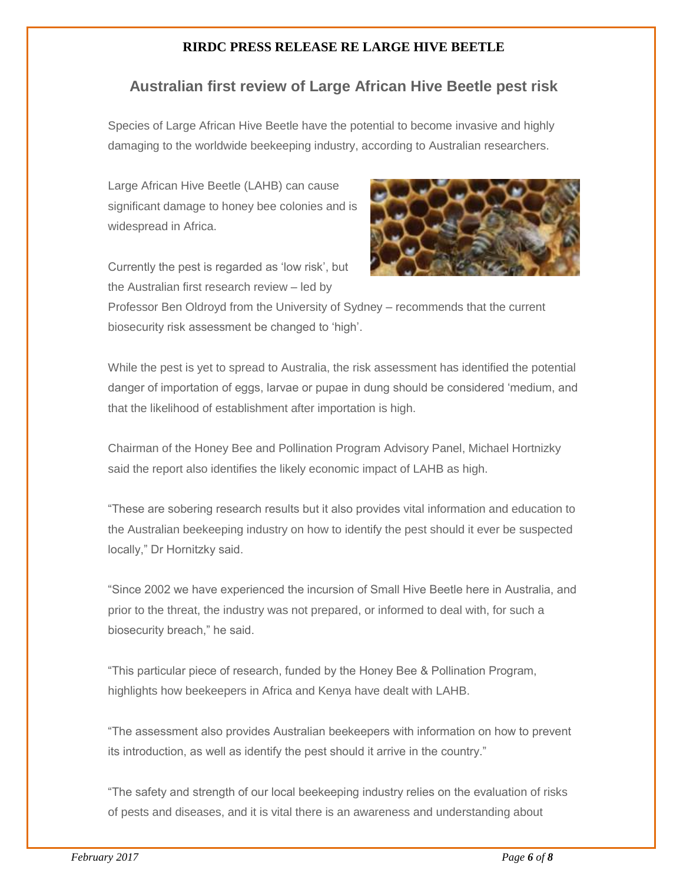#### **RIRDC PRESS RELEASE RE LARGE HIVE BEETLE**

#### **Australian first review of Large African Hive Beetle pest risk**

Species of Large African Hive Beetle have the potential to become invasive and highly damaging to the worldwide beekeeping industry, according to Australian researchers.

Large African Hive Beetle (LAHB) can cause significant damage to honey bee colonies and is widespread in Africa.

Currently the pest is regarded as 'low risk', but the Australian first research review – led by



Professor Ben Oldroyd from the University of Sydney – recommends that the current biosecurity risk assessment be changed to 'high'.

While the pest is yet to spread to Australia, the risk assessment has identified the potential danger of importation of eggs, larvae or pupae in dung should be considered 'medium, and that the likelihood of establishment after importation is high.

Chairman of the Honey Bee and Pollination Program Advisory Panel, Michael Hortnizky said the report also identifies the likely economic impact of LAHB as high.

"These are sobering research results but it also provides vital information and education to the Australian beekeeping industry on how to identify the pest should it ever be suspected locally," Dr Hornitzky said.

"Since 2002 we have experienced the incursion of Small Hive Beetle here in Australia, and prior to the threat, the industry was not prepared, or informed to deal with, for such a biosecurity breach," he said.

"This particular piece of research, funded by the Honey Bee & Pollination Program, highlights how beekeepers in Africa and Kenya have dealt with LAHB.

"The assessment also provides Australian beekeepers with information on how to prevent its introduction, as well as identify the pest should it arrive in the country."

"The safety and strength of our local beekeeping industry relies on the evaluation of risks of pests and diseases, and it is vital there is an awareness and understanding about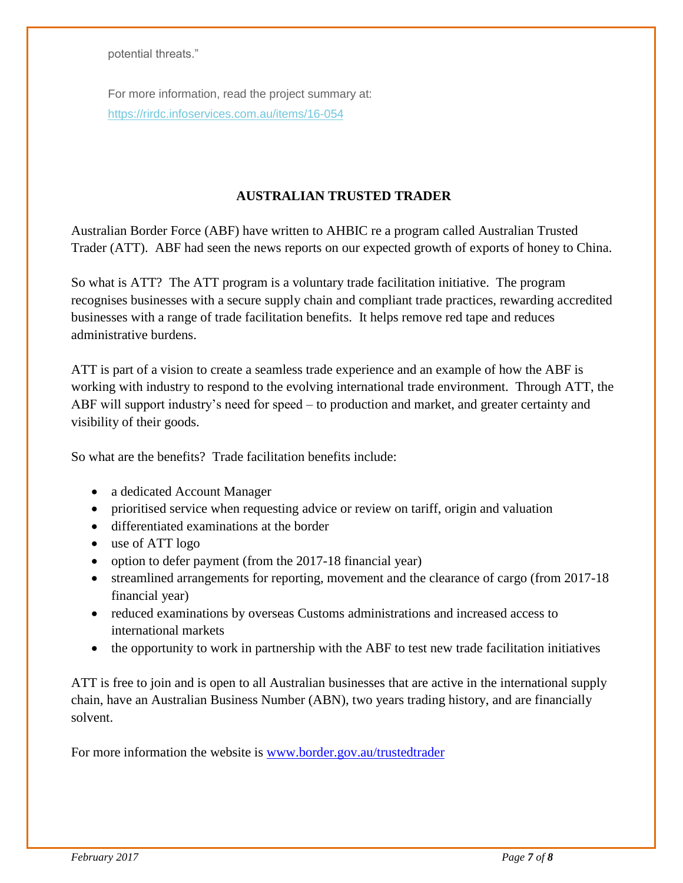potential threats."

For more information, read the project summary at: [https://rirdc.infoservices.com.au/items/16-054](http://coxinall.us7.list-manage1.com/track/click?u=87f4462512400a53a67349d86&id=58e7296267&e=99278a1f2d)

#### **AUSTRALIAN TRUSTED TRADER**

Australian Border Force (ABF) have written to AHBIC re a program called Australian Trusted Trader (ATT). ABF had seen the news reports on our expected growth of exports of honey to China.

So what is ATT? The ATT program is a voluntary trade facilitation initiative. The program recognises businesses with a secure supply chain and compliant trade practices, rewarding accredited businesses with a range of trade facilitation benefits. It helps remove red tape and reduces administrative burdens.

ATT is part of a vision to create a seamless trade experience and an example of how the ABF is working with industry to respond to the evolving international trade environment. Through ATT, the ABF will support industry's need for speed – to production and market, and greater certainty and visibility of their goods.

So what are the benefits? Trade facilitation benefits include:

- a dedicated Account Manager
- prioritised service when requesting advice or review on tariff, origin and valuation
- differentiated examinations at the border
- use of ATT logo
- option to defer payment (from the 2017-18 financial year)
- streamlined arrangements for reporting, movement and the clearance of cargo (from 2017-18) financial year)
- reduced examinations by overseas Customs administrations and increased access to international markets
- the opportunity to work in partnership with the ABF to test new trade facilitation initiatives

ATT is free to join and is open to all Australian businesses that are active in the international supply chain, have an Australian Business Number (ABN), two years trading history, and are financially solvent.

For more information the website is [www.border.gov.au/trustedtrader](http://www.border.gov.au/trustedtrader)